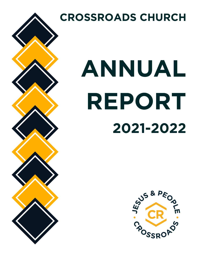

**CROSSROADS CHURCH**

# ANNUAL REPORT 2021-2022

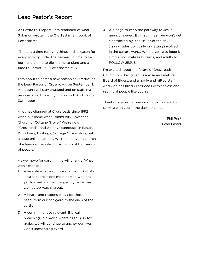## Lead Pastor's Report

As I write this report, I am reminded of what Solomon wrote in the Old Testament book of Ecclesiastes:

"There is a time for everything, and a season for every activity under the heavens: a time to be born and a time to die, a time to plant and a time to uproot…." —Ecclesiastes 3:1-2

I am about to enter a new season as I "retire" as the Lead Pastor of Crossroads on September 1. Although I will stay engaged and on staff in a reduced role, this is my final report. And it's my 30th report!

A lot has changed at Crossroads since 1992 when our name was "Community Covenant Church of Cottage Grove." We're now "Crossroads" and we have campuses in Eagan, Woodbury, Hastings, Cottage Grove, along with a huge online campus. We're no longer a church of a hundred people, but a church of thousands of people.

As we move forward, things will change. What won't change?

- 1. A laser-like focus on those far from God. As long as there is one more person who has yet to meet and be changed by Jesus, we won't stop reaching out.
- 2. A heart (and responsibility) for those in need, from our backyard to the ends of the earth.
- 3. A commitment to relevant, Biblical preaching. In a world where truth is up for grabs, we will continue to anchor our lives in God's unchanging Word.

4. A pledge to keep the pathway to Jesus unencumbered. By that, I mean we won't get sidetracked by "the issues of the day" (taking sides politically or getting involved in the culture wars). We are going to keep it simple and invite kids, teens, and adults to FOLLOW JESUS.

I'm excited about the future of Crossroads Church. God has given us a wise and mature Board of Elders, and a godly and gifted staff. And God has filled Crossroads with selfless and sacrificial people like yourself!

Thanks for your partnership. I look forward to serving with you in the days to come.

> Phil Print Lead Pastor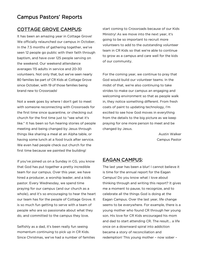## Campus Pastors' Reports

#### COTTAGE GROVE CAMPUS:

It has been an amazing year in Cottage Grove! We officially relaunched our campus in October. In the 7.5 months of gathering together, we've seen 12 people go public with their faith through baptism, and have over 125 people serving on the weekend. Our weekend attendance averages 115 adults in service and 20-30 volunteers. Not only that, but we've seen nearly 80 families be part of CR Kids at Cottage Grove since October, with 19 of those families being brand new to Crossroads!

Not a week goes by where I don't get to meet with someone reconnecting with Crossroads for the first time since quarantine, or checking out church for the first time just to "see what it's like." It has been so fun hearing stories of people meeting and being changed by Jesus through things like sharing a meal at an Alpha table, or having some lunch at a food truck after service. We even had people check out church for the first time because we painted the building!

If you've joined us on a Sunday in CG, you know that God has put together a pretty incredible team for our campus. Over this year, we have hired a producer, a worship leader, and a kids pastor. Every Wednesday, we spend time praying for our campus (and our church as a whole), and it's so encouraging to hear the heart our team has for the people of Cottage Grove. It is so much fun getting to serve with a team of people who are so passionate about what they do, and committed to the campus they love.

Selfishly as a dad, it's been really fun seeing momentum continuing to pick up in CR Kids. Since Christmas, we've had a number of families start coming to Crossroads because of our Kids Ministry! As we move into the next year, it's going to be so important to recruit more volunteers to add to the outstanding volunteer team in CR Kids so that we're able to continue to grow as a campus and care well for the kids of our community.

For the coming year, we continue to pray that God would build our volunteer teams. In the midst of that, we're also continuing to take strides to make our campus an engaging and welcoming environment so that as people walk in, they notice something different. From fresh coats of paint to updating technology, I'm excited to see how God moves in everything from the details to the big picture as we keep praying for one more person to meet and be changed by Jesus.

> Austin Walker Campus Pastor

#### EAGAN CAMPUS:

The last year has been a blur! I cannot believe it is time for the annual report for the Eagan Campus! Do you know what I love about thinking through and writing this report? It gives me a moment to pause, to recognize, and to celebrate all the things God is doing at the Eagan Campus. Over the last year, life change seems to be everywhere. For example, there is a young mother who found CR through her young son. His love for CR Kids encouraged his mom and dad to start attending CR. The result… a life once on a downward spiral into addiction became a story of reconciliation and redemption! This young mother – now sober –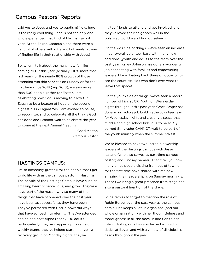# Campus Pastors' Reports

said yes to Jesus and yes to baptism! Now, here is the really cool thing – she is not the only one who experienced that kind of life change last year. At the Eagan Campus alone there were a handful of others with different but similar stories of finding life in their relationship with Jesus!

So, when I talk about the many new families coming to CR this year (actually 100% more than last year); or the nearly 80% growth of those attending worship services on Sunday or for the first time since 2018 (yup 2018), we saw more than 300 people gather for Easter, I am celebrating how God is moving to allow CR Eagan to be a beacon of hope on the second highest hill in Eagan! Yes, I am excited to pause, to recognize, and to celebrate all the things God has done and I cannot wait to celebrate the year to come at the next Annual Meeting!

> Chad Melton Campus Pastor

### HASTINGS CAMPUS:

I'm so incredibly grateful for the people that I get to do life with as the campus pastor in Hastings. The people of the Hastings Campus have such an amazing heart to serve, love, and grow. They're a huge part of the reason why so many of the things that have happened over the past year have been as successful as they have been. They've partnered with God in powerful ways that have echoed into eternity. They've attended and helped host Alpha (nearly 100 adults participated!), they've stepped up to serve on weekly teams, they've helped start an ongoing recovery group on Monday nights, they've

invited friends to attend and get involved, and they've loved their neighbors well in the polarized world we all find ourselves in.

On the kids side of things, we've seen an increase in our overall volunteer base with many new additions (youth and adult) to the team over the past year. Kailey Johnson has done a wonderful job connecting with families and empowering leaders. I love floating back there on occasion to see the countless kids who don't ever want to leave that space!

On the youth side of things, we've seen a record number of kids at CR Youth on Wednesday nights throughout this past year. Grace Brager has done an incredible job building the volunteer team for Wednesday nights and creating a space that middle and high school kids love to be at. My current 5th grader CANNOT wait to be part of the youth ministry when the summer starts!

We're blessed to have two incredible worship leaders at the Hastings campus with Jesse Italiano (who also serves as part-time campus pastor) and Lindsey Semrau. I can't tell you how many times people visiting from out of town or for the first time have shared with me how amazing their leadership is on Sunday mornings. These two bring a great presence from stage and also a pastoral heart off of the stage.

I'd be remiss to forget to mention the role of Robin Burow over the past year as the campus admin. She keeps all of us organized (and our whole organization!) with her thoughtfulness and thoroughness in all she does. In addition to her role in Hastings she has also helped with admin duties at Eagan and with a variety of discipleship needs throughout the year.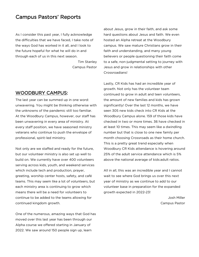## Campus Pastors' Reports

As I consider this past year, I fully acknowledge the difficulties that we have faced, I take note of the ways God has worked in it all, and I look to the future hopeful for what he will do in and through each of us in this next season.

> Tim Stanley Campus Pastor

#### WOODBURY CAMPUS:

The last year can be summed up in one word: unwavering. You might be thinking otherwise with the unknowns of the pandemic still too familiar. At the Woodbury Campus, however, our staff has been unwavering in every area of ministry. At every staff position, we have seasoned ministry veterans who continue to push the envelope of professional, spirit-led ministry.

Not only are we staffed and ready for the future, but our volunteer ministry is also set up well to build on. We currently have over 400 volunteers serving across kids, youth, and weekend services which include tech and production, prayer, greeting, worship center hosts, safety, and café teams. This may seem like a lot of volunteers, but each ministry area is continuing to grow which means there will be a need for volunteers to continue to be added to the teams allowing for continued kingdom growth.

One of the numerous, amazing ways that God has moved over this last year has been through our Alpha course we offered starting in January of 2022. We saw around 150 people sign up, learn

about Jesus, grow in their faith, and ask some hard questions about Jesus and faith. We even hosted an Alpha retreat at the Woodbury campus. We saw mature Christians grow in their faith and understanding, and many young believers or people questioning their faith come to a safe, non-judgmental setting to journey with Jesus and grow in relationships with other Crossroadians!

Lastly, CR Kids has had an incredible year of growth. Not only has the volunteer team continued to grow in adult and teen volunteers, the amount of new families and kids has grown significantly! Over the last 12 months, we have seen 305 new kids check into CR Kids at the Woodbury Campus alone. 159 of those kids have checked in two or more times. 36 have checked in at least 10 times. This may seem like a dwindling number but that is close to one new family per month choosing Crossroads as their home church. This is a pretty great trend especially when Woodbury CR Kids attendance is hovering around 25% of the adult service attendance which is 5% above the national average of kids:adult ratios.

All in all, this was an incredible year and I cannot wait to see where God brings us over this next year of ministry as we continue to add to our volunteer base in preparation for the expanded growth expected in 2022-23!

> Josh Miller Campus Pastor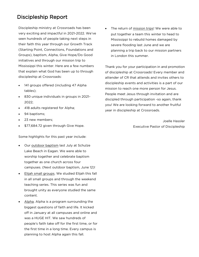# Discipleship Report

Discipleship ministry at Crossroads has been very exciting and impactful in 2021-2022. We've seen hundreds of people taking next steps in their faith this year through our Growth Track (Starting Point, Connections, Foundations and Groups), baptism, Alpha, Give Hope/Do Good initiatives and through our mission trip to Mississippi this winter. Here are a few numbers that explain what God has been up to through discipleship at Crossroads:

- 141 groups offered (including 47 Alpha tables);
- 830 unique individuals in groups in 2021- 2022;
- 418 adults registered for Alpha;
- 94 baptisms;
- 23 new members;
- \$77,684.72 given through Give Hope.

Some highlights for this past year include:

- Our outdoor baptism last July at Schulze Lake Beach in Eagan. We were able to worship together and celebrate baptism together as one church across four campuses. (Next outdoor baptism, June 12)!
- Elijah small groups. We studied Elijah this fall in all small groups and through the weekend teaching series. This series was fun and brought unity as everyone studied the same content.
- Alpha. Alpha is a program surrounding the biggest questions of faith and life. It kicked off in January at all campuses and online and was a HUGE HIT. We saw hundreds of people's faith take off for the first time, or for the first time in a long time. Every campus is planning to host Alpha again this fall.

The return of mission trips! We were able to put together a team this winter to head to Mississippi to rebuild homes damaged by severe flooding last June and we are planning a trip back to our mission partners in London this summer.

Thank you for your participation in and promotion of discipleship at Crossroads! Every member and attender of CR that attends and invites others to discipleship events and activities is a part of our mission to reach one more person for Jesus. People meet Jesus through invitation and are discipled through participation -so again, thank you! We are looking forward to another fruitful year in discipleship at Crossroads.

> Joelle Hassler Executive Pastor of Discipleship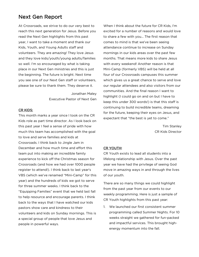## Next Gen Report

At Crossroads, we strive to do our very best to reach this next generation for Jesus. Before you read the Next Gen highlights from this past year, I want to take a moment and thank our Kids, Youth, and Young Adults staff and volunteers. They are amazing! They love Jesus and they love kids/youth/young adults/families so well. I'm so encouraged by what is taking place in our Next Gen ministries and this is just the beginning. The future is bright. Next time you see one of our Next Gen staff or volunteers, please be sure to thank them. They deserve it.

> Jonathan Maley Executive Pastor of Next Gen

#### CR KIDS:

This month marks a year since I took on the CR Kids role as part time director. As I look back on this past year I feel a sense of pride with how much this team has accomplished with the goal to love and serve families and kids at Crossroads. I think back to Jingle Jam in December and how much time and effort this team put into making an incredible family experience to kick off the Christmas season for Crossroads (and how we had over 1000 people register to attend!). I think back to last year's VBS (which we've renamed "Mini-Camp" for this year) and the hundreds of kids we got to serve for three summer weeks. I think back to the "Equipping Families" event that we held last fall to help resource and encourage parents. I think back to the ways that I have watched our kids pastors show care and kindness to their volunteers and kids on Sunday mornings. This is a special group of people that love Jesus and people in powerful ways.

When I think about the future for CR Kids, I'm excited for a number of reasons and would love to share a few with you… The first reason that comes to mind is that we've been seeing attendance continue to increase on Sunday mornings in our kids areas over the past few months. That means more kids to share Jesus with every weekend! Another reason is that Mini-Camp (formerly VBS) will be held at all four of our Crossroads campuses this summer which gives us a great chance to serve and love our regular attendees and also visitors from our communities. And the final reason I want to highlight (I could go on and on but I have to keep this under 300 words!) is that this staff is continuing to build incredible teams, dreaming for the future, keeping their eyes on Jesus, and expectant that "the best is yet to come."

> Tim Stanley CR Kids Director

#### CR YOUTH:

CR Youth exists to lead all students into a lifelong relationship with Jesus. Over the past year we have had the privilege of seeing God move in amazing ways in and through the lives of our youth.

There are so many things we could highlight from the past year from our events to our weekly programming. Here is just a sample of CR Youth highlights from this past year:

1. We launched our first consistent summer programming called Summer Nights. For 10 weeks straight we gathered for fun-packed and impactful services. This brought highenergy momentum into the fall.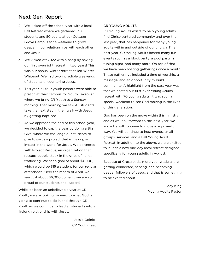# Next Gen Report

- 2. We kicked off the school year with a local Fall Retreat where we gathered 130 students and 50 adults at our Cottage Grove Campus for a weekend to grow deeper in our relationships with each other and Jesus.
- 3. We kicked off 2022 with a bang by having our first overnight retreat in two years! This was our annual winter retreat called Winter Whiteout. We had two incredible weekends of students encountering Jesus.
- 4. This year, all four youth pastors were able to preach at their campus for Youth Takeover where we bring CR Youth to a Sunday morning. That morning we saw 45 students take the next step in their walk with Jesus by getting baptized.
- 5. As we approach the end of this school year, we decided to cap the year by doing a Big Give, where we challenge our students to give towards a project that is making an impact in the world for Jesus. We partnered with Project Rescue, an organization that rescues people stuck in the grips of human trafficking. We set a goal of about \$4,000, which would be \$15 a student for our regular attendance. Over the month of April, we saw just about \$6,000 come in, we are so proud of our students and leaders!

While it's been an unbelievable year at CR Youth, we are looking forward to what God is going to continue to do in and through CR Youth as we continue to lead all students into a lifelong relationship with Jesus.

> Jessie Golnick CR Youth Lead

#### CR YOUNG ADULTS

CR Young Adults exists to help young adults find Christ-centered community and over the last year, that has happened for many young adults within and outside of our church. This past year, CR Young Adults hosted many fun events such as a block party, a pool party, a tubing night, and many more. On top of that, we have been hosting gatherings once a month. These gatherings included a time of worship, a message, and an opportunity to build community. A highlight from the past year was that we hosted our first-ever Young Adults retreat with 70 young adults. It was such a special weekend to see God moving in the lives of this generation.

God has been on the move within this ministry, and as we look forward to this next year, we know He will continue to move in a powerful way. We will continue to host events, small groups, services, and a Fall Young Adult Retreat. In addition to the above, we are excited to launch a new one-day local retreat designed specifically for young adults in August.

Because of Crossroads, more young adults are getting connected, serving, and becoming deeper followers of Jesus, and that is something to be excited about.

> Joey King Young Adults Pastor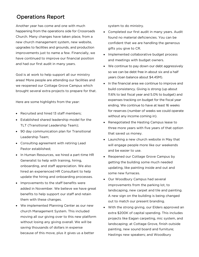# Operations Report

Another year has come and one with much happening from the operations side for Crossroads Church. Many changes have taken place, from a new church management system, new website, upgrades to facilities and grounds, and production improvements just to name a few. Financially, we have continued to improve our financial position and had our first audit in many years.

God is at work to help support all our ministry areas! More people are attending our facilities and we reopened our Cottage Grove Campus which brought several extra projects to prepare for that.

Here are some highlights from the year:

- Recruited and hired 13 staff members;
- Established shared leadership model for the TLT (Transitional Leadership Team);
- 90 day communication plan for Transitional Leadership Team;
- Consulting agreement with retiring Lead Pastor established;
- In Human Resources, we hired a part-time HR Generalist to help with training, hiring, onboarding, and staff appreciation. We also hired an experienced HR Consultant to help update the hiring and onboarding processes.
- Improvements to the staff benefits were added in November. We believe we have great benefits to help support our staff and retain them with these changes.
- We implemented Planning Center as our new church Management System. This included moving all our giving over to this new platform without losing any giving overall. We will be saving thousands of dollars in expense because of this move, plus it gives us a better

system to do ministry.

- Completed our first audit in many years. Audit found no material deficiencies. You can be confident that we are handling the generous gifts you give to CR.
- Implemented collaborative budget process and meetings with budget owners.
- We continue to pay down our debt aggressively so we can be debt free in about six and a half years (loan balance about \$4.45M).
- In the financial area we continue to improve and build consistency. Giving is strong (up about 11.6% to last fiscal year and 5.0% to budget) and expenses tracking on budget for the fiscal year ending. We continue to have at least 16 weeks for reserves (number of weeks we could operate without any income coming in).
- Renegotiated the Hasting Campus lease to three more years with five years of that option that saved us money.
- Launching a new church website in May that will engage people more like our weekends and be easier to use.
- Reopened our Cottage Grove Campus by getting the building some much needed updating, like painting inside and out and some new furnaces.
- Our Woodbury Campus had several improvements from the parking lot, to landscaping, new carpet and tile and painting. A new sign on the building is being changed out to match our present branding.
- With the strong giving, our Elders approved an extra \$200K of capital spending. This includes projects like Eagan carpeting, mic system, and landscaping; at Cottage Grove, finish outside painting, new sound board and furniture; Hastings new speakers; and Woodbury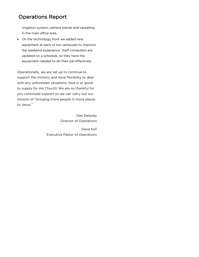# Operations Report

irrigation system, camera stands and carpeting in the main office area.

• On the technology front we added new equipment at each of our campuses to improve the weekend experience. Staff computers are updated on a schedule, so they have the equipment needed to do their job effectively.

Operationally, we are set up to continue to support the ministry and have flexibility to deal with any unforeseen situations. God is so good to supply for His Church! We are so thankful for you continued support so we can carry out our mission of "bringing more people in more places to Jesus."

> Dan Delaney Director of Operations Dave Kell Executive Pastor of Operations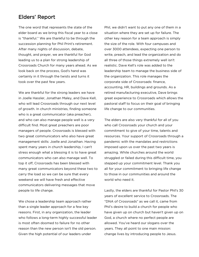## Elders' Report

The one word that represents the state of the elder board as we bring this fiscal year to a close is "thankful." We are thankful to be through the succession planning for Phil Print's retirement. After many nights of discussion, debate, thought, and prayer, we are thankful for God leading us to a plan for strong leadership of Crossroads Church for many years ahead. As we look back on the process, God's hand was certainly in it through the twists and turns it took over the past few years.

We are thankful for the strong leaders we have in Joelle Hassler, Jonathan Maley, and Dave Kell, who will lead Crossroads through our next level of growth. In church ministries, finding someone who is a great communicator (aka preacher), and who can also manage people well is a very difficult find. Most great preachers are poor managers of people. Crossroads is blessed with two great communicators who also have great management skills: Joelle and Jonathan. Having spent many years in church leadership, I can't stress enough what a blessing it is to have great communicators who can also manage well. To top it off, Crossroads has been blessed with many great communicators beyond these two to carry the load so we can be sure that every weekend we will have fresh and effective communicators delivering messages that move people to life change.

We chose a leadership team approach rather than a single leader approach for a few key reasons. First, in any organization, the leader who follows a long-term highly successful leader is most often doomed to failure for no other reason than the new person isn't the old person. Given the high potential of our leaders under

Phil, we didn't want to put any one of them in a situation where they are set up for failure. The other key reason for a team approach is simply the size of the role. With four campuses and over 3000 attendees, expecting one person to write, preach, and lead the organization and do all three of those things extremely well isn't realistic. Dave Kell's role was added to the leadership team to manage the business side of the organization. This role manages the corporate side of Crossroads: finance, accounting, HR, buildings and grounds. As a retired manufacturing executive, Dave brings great experience to Crossroads which allows the pastoral staff to focus on their goal of bringing life change to our communities.

The elders are also very thankful for all of you who call Crossroads your church and your commitment to give of your time, talents and resources. Your support of Crossroads through a pandemic with the mandates and restrictions imposed upon us over the past two years is amazing. While churches around the world struggled or failed during this difficult time, you stepped up your commitment level. Thank you all for your commitment to bringing life change to those in our communities and around the world who need it.

Lastly, the elders are thankful for Pastor Phil's 30 years of excellent service to Crossroads. The "DNA of Crossroads" as we call it, came from Phil's desire to build a church for people who have given up on church but haven't given up on God, a church where no perfect people are allowed. You've heard our slogans over the years. They all point to one main mission: change lives by introducing people to Jesus.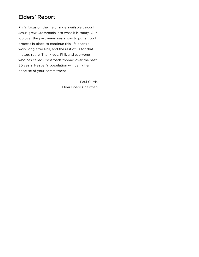# Elders' Report

Phil's focus on the life change available through Jesus grew Crossroads into what it is today. Our job over the past many years was to put a good process in place to continue this life change work long after Phil, and the rest of us for that matter, retire. Thank you, Phil, and everyone who has called Crossroads "home" over the past 30 years. Heaven's population will be higher because of your commitment.

> Paul Curtis Elder Board Chairman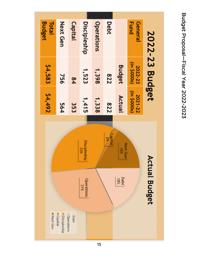